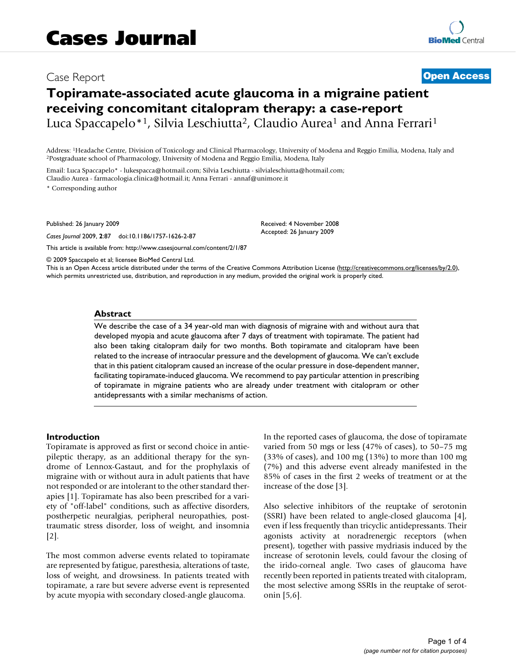## Case Report **[Open Access](http://www.biomedcentral.com/info/about/charter/)**

# **Topiramate-associated acute glaucoma in a migraine patient receiving concomitant citalopram therapy: a case-report** Luca Spaccapelo<sup>\*1</sup>, Silvia Leschiutta<sup>2</sup>, Claudio Aurea<sup>1</sup> and Anna Ferrari<sup>1</sup>

Address: <sup>1</sup>Headache Centre, Division of Toxicology and Clinical Pharmacology, University of Modena and Reggio Emilia, Modena, Italy and <sup>2</sup>Postgraduate school of Pharmacology, University of Modena and Reggio Emilia, Moden

Email: Luca Spaccapelo\* - lukespacca@hotmail.com; Silvia Leschiutta - silvialeschiutta@hotmail.com; Claudio Aurea - farmacologia.clinica@hotmail.it; Anna Ferrari - annaf@unimore.it

\* Corresponding author

Published: 26 January 2009

*Cases Journal* 2009, **2**:87 doi:10.1186/1757-1626-2-87

[This article is available from: http://www.casesjournal.com/content/2/1/87](http://www.casesjournal.com/content/2/1/87)

© 2009 Spaccapelo et al; licensee BioMed Central Ltd.

This is an Open Access article distributed under the terms of the Creative Commons Attribution License [\(http://creativecommons.org/licenses/by/2.0\)](http://creativecommons.org/licenses/by/2.0), which permits unrestricted use, distribution, and reproduction in any medium, provided the original work is properly cited.

Received: 4 November 2008 Accepted: 26 January 2009

#### **Abstract**

We describe the case of a 34 year-old man with diagnosis of migraine with and without aura that developed myopia and acute glaucoma after 7 days of treatment with topiramate. The patient had also been taking citalopram daily for two months. Both topiramate and citalopram have been related to the increase of intraocular pressure and the development of glaucoma. We can't exclude that in this patient citalopram caused an increase of the ocular pressure in dose-dependent manner, facilitating topiramate-induced glaucoma. We recommend to pay particular attention in prescribing of topiramate in migraine patients who are already under treatment with citalopram or other antidepressants with a similar mechanisms of action.

#### **Introduction**

Topiramate is approved as first or second choice in antiepileptic therapy, as an additional therapy for the syndrome of Lennox-Gastaut, and for the prophylaxis of migraine with or without aura in adult patients that have not responded or are intolerant to the other standard therapies [1]. Topiramate has also been prescribed for a variety of "off-label" conditions, such as affective disorders, postherpetic neuralgias, peripheral neuropathies, posttraumatic stress disorder, loss of weight, and insomnia [2].

The most common adverse events related to topiramate are represented by fatigue, paresthesia, alterations of taste, loss of weight, and drowsiness. In patients treated with topiramate, a rare but severe adverse event is represented by acute myopia with secondary closed-angle glaucoma.

In the reported cases of glaucoma, the dose of topiramate varied from 50 mgs or less (47% of cases), to 50–75 mg (33% of cases), and 100 mg (13%) to more than 100 mg (7%) and this adverse event already manifested in the 85% of cases in the first 2 weeks of treatment or at the increase of the dose [3].

Also selective inhibitors of the reuptake of serotonin (SSRI) have been related to angle-closed glaucoma [4], even if less frequently than tricyclic antidepressants. Their agonists activity at noradrenergic receptors (when present), together with passive mydriasis induced by the increase of serotonin levels, could favour the closing of the irido-corneal angle. Two cases of glaucoma have recently been reported in patients treated with citalopram, the most selective among SSRIs in the reuptake of serotonin [5,6].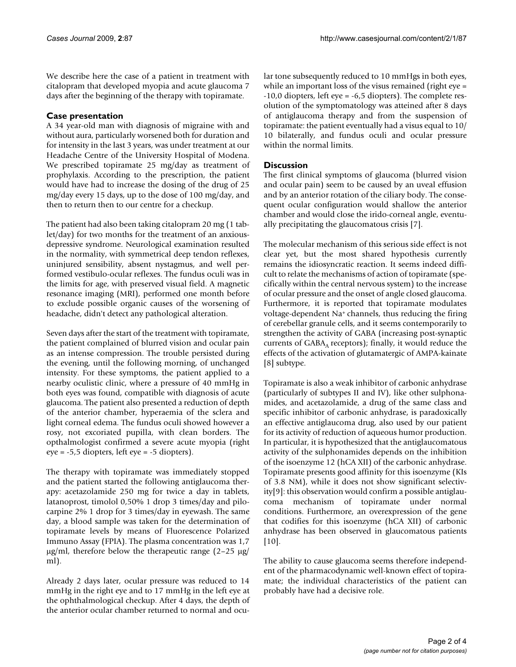We describe here the case of a patient in treatment with citalopram that developed myopia and acute glaucoma 7 days after the beginning of the therapy with topiramate.

## **Case presentation**

A 34 year-old man with diagnosis of migraine with and without aura, particularly worsened both for duration and for intensity in the last 3 years, was under treatment at our Headache Centre of the University Hospital of Modena. We prescribed topiramate 25 mg/day as treatment of prophylaxis. According to the prescription, the patient would have had to increase the dosing of the drug of 25 mg/day every 15 days, up to the dose of 100 mg/day, and then to return then to our centre for a checkup.

The patient had also been taking citalopram 20 mg (1 tablet/day) for two months for the treatment of an anxiousdepressive syndrome. Neurological examination resulted in the normality, with symmetrical deep tendon reflexes, uninjured sensibility, absent nystagmus, and well performed vestibulo-ocular reflexes. The fundus oculi was in the limits for age, with preserved visual field. A magnetic resonance imaging (MRI), performed one month before to exclude possible organic causes of the worsening of headache, didn't detect any pathological alteration.

Seven days after the start of the treatment with topiramate, the patient complained of blurred vision and ocular pain as an intense compression. The trouble persisted during the evening, until the following morning, of unchanged intensity. For these symptoms, the patient applied to a nearby oculistic clinic, where a pressure of 40 mmHg in both eyes was found, compatible with diagnosis of acute glaucoma. The patient also presented a reduction of depth of the anterior chamber, hyperaemia of the sclera and light corneal edema. The fundus oculi showed however a rosy, not excoriated pupilla, with clean borders. The opthalmologist confirmed a severe acute myopia (right eye = -5,5 diopters, left eye = -5 diopters).

The therapy with topiramate was immediately stopped and the patient started the following antiglaucoma therapy: acetazolamide 250 mg for twice a day in tablets, latanoprost, timolol 0,50% 1 drop 3 times/day and pilocarpine 2% 1 drop for 3 times/day in eyewash. The same day, a blood sample was taken for the determination of topiramate levels by means of Fluorescence Polarized Immuno Assay (FPIA). The plasma concentration was 1,7 μg/ml, therefore below the therapeutic range (2–25 μg/ ml).

Already 2 days later, ocular pressure was reduced to 14 mmHg in the right eye and to 17 mmHg in the left eye at the ophthalmological checkup. After 4 days, the depth of the anterior ocular chamber returned to normal and ocular tone subsequently reduced to 10 mmHgs in both eyes, while an important loss of the visus remained (right eye = -10,0 diopters, left eye = -6,5 diopters). The complete resolution of the symptomatology was atteined after 8 days of antiglaucoma therapy and from the suspension of topiramate: the patient eventually had a visus equal to 10/ 10 bilaterally, and fundus oculi and ocular pressure within the normal limits.

## **Discussion**

The first clinical symptoms of glaucoma (blurred vision and ocular pain) seem to be caused by an uveal effusion and by an anterior rotation of the ciliary body. The consequent ocular configuration would shallow the anterior chamber and would close the irido-corneal angle, eventually precipitating the glaucomatous crisis [7].

The molecular mechanism of this serious side effect is not clear yet, but the most shared hypothesis currently remains the idiosyncratic reaction. It seems indeed difficult to relate the mechanisms of action of topiramate (specifically within the central nervous system) to the increase of ocular pressure and the onset of angle closed glaucoma. Furthermore, it is reported that topiramate modulates voltage-dependent Na+ channels, thus reducing the firing of cerebellar granule cells, and it seems contemporarily to strengthen the activity of GABA (increasing post-synaptic currents of  $GABA_A$  receptors); finally, it would reduce the effects of the activation of glutamatergic of AMPA-kainate [8] subtype.

Topiramate is also a weak inhibitor of carbonic anhydrase (particularly of subtypes II and IV), like other sulphonamides, and acetazolamide, a drug of the same class and specific inhibitor of carbonic anhydrase, is paradoxically an effective antiglaucoma drug, also used by our patient for its activity of reduction of aqueous humor production. In particular, it is hypothesized that the antiglaucomatous activity of the sulphonamides depends on the inhibition of the isoenzyme 12 (hCA XII) of the carbonic anhydrase. Topiramate presents good affinity for this isoenzyme (KIs of 3.8 NM), while it does not show significant selectivity[9]: this observation would confirm a possible antiglaucoma mechanism of topiramate under normal conditions. Furthermore, an overexpression of the gene that codifies for this isoenzyme (hCA XII) of carbonic anhydrase has been observed in glaucomatous patients [10].

The ability to cause glaucoma seems therefore independent of the pharmacodynamic well-known effect of topiramate; the individual characteristics of the patient can probably have had a decisive role.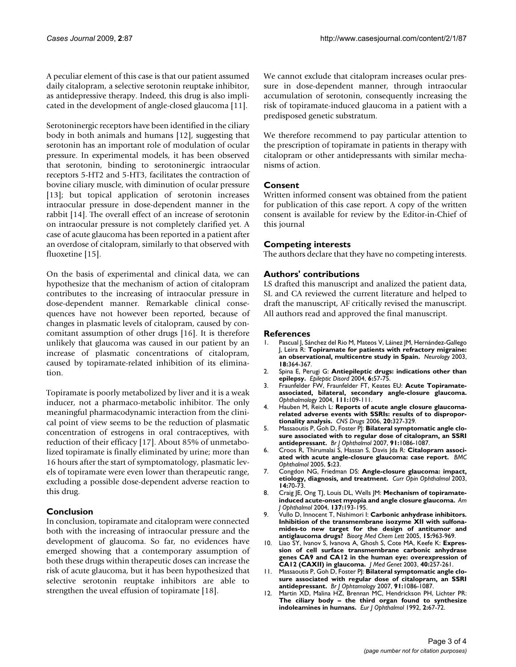A peculiar element of this case is that our patient assumed daily citalopram, a selective serotonin reuptake inhibitor, as antidepressive therapy. Indeed, this drug is also implicated in the development of angle-closed glaucoma [11].

Serotoninergic receptors have been identified in the ciliary body in both animals and humans [12], suggesting that serotonin has an important role of modulation of ocular pressure. In experimental models, it has been observed that serotonin, binding to serotoninergic intraocular receptors 5-HT2 and 5-HT3, facilitates the contraction of bovine ciliary muscle, with diminution of ocular pressure [13]; but topical application of serotonin increases intraocular pressure in dose-dependent manner in the rabbit [14]. The overall effect of an increase of serotonin on intraocular pressure is not completely clarified yet. A case of acute glaucoma has been reported in a patient after an overdose of citalopram, similarly to that observed with fluoxetine [15].

On the basis of experimental and clinical data, we can hypothesize that the mechanism of action of citalopram contributes to the increasing of intraocular pressure in dose-dependent manner. Remarkable clinical consequences have not however been reported, because of changes in plasmatic levels of citalopram, caused by concomitant assumption of other drugs [16]. It is therefore unlikely that glaucoma was caused in our patient by an increase of plasmatic concentrations of citalopram, caused by topiramate-related inhibition of its elimination.

Topiramate is poorly metabolized by liver and it is a weak inducer, not a pharmaco-metabolic inhibitor. The only meaningful pharmacodynamic interaction from the clinical point of view seems to be the reduction of plasmatic concentration of estrogens in oral contraceptives, with reduction of their efficacy [17]. About 85% of unmetabolized topiramate is finally eliminated by urine; more than 16 hours after the start of symptomatology, plasmatic levels of topiramate were even lower than therapeutic range, excluding a possible dose-dependent adverse reaction to this drug.

## **Conclusion**

In conclusion, topiramate and citalopram were connected both with the increasing of intraocular pressure and the development of glaucoma. So far, no evidences have emerged showing that a contemporary assumption of both these drugs within therapeutic doses can increase the risk of acute glaucoma, but it has been hypothesized that selective serotonin reuptake inhibitors are able to strengthen the uveal effusion of topiramate [18].

We cannot exclude that citalopram increases ocular pressure in dose-dependent manner, through intraocular accumulation of serotonin, consequently increasing the risk of topiramate-induced glaucoma in a patient with a predisposed genetic substratum.

We therefore recommend to pay particular attention to the prescription of topiramate in patients in therapy with citalopram or other antidepressants with similar mechanisms of action.

### **Consent**

Written informed consent was obtained from the patient for publication of this case report. A copy of the written consent is available for review by the Editor-in-Chief of this journal

#### **Competing interests**

The authors declare that they have no competing interests.

### **Authors' contributions**

LS drafted this manuscript and analized the patient data, SL and CA reviewed the current literature and helped to draft the manuscript, AF critically revised the manuscript. All authors read and approved the final manuscript.

#### **References**

- 1. Pascual J, Sánchez del Rio M, Mateos V, Láinez JM, Hernández-Gallego J, Leira R: **Topiramate for patients with refractory migraine: an observational, multicentre study in Spain.** *Neurology* 2003, **18:**364-367.
- 2. Spina E, Perugi G: **[Antiepileptic drugs: indications other than](http://www.ncbi.nlm.nih.gov/entrez/query.fcgi?cmd=Retrieve&db=PubMed&dopt=Abstract&list_uids=15246950) [epilepsy.](http://www.ncbi.nlm.nih.gov/entrez/query.fcgi?cmd=Retrieve&db=PubMed&dopt=Abstract&list_uids=15246950)** *Epileptic Disord* 2004, **6:**57-75.
- 3. Fraunfelder FW, Fraunfelder FT, Keates EU: **[Acute Topiramate](http://www.ncbi.nlm.nih.gov/entrez/query.fcgi?cmd=Retrieve&db=PubMed&dopt=Abstract&list_uids=14711721)[associated, bilateral, secondary angle-closure glaucoma.](http://www.ncbi.nlm.nih.gov/entrez/query.fcgi?cmd=Retrieve&db=PubMed&dopt=Abstract&list_uids=14711721)** *Ophthalmology* 2004, **111:**109-111.
- 4. Hauben M, Reich L: **[Reports of acute angle closure glaucoma](http://www.ncbi.nlm.nih.gov/entrez/query.fcgi?cmd=Retrieve&db=PubMed&dopt=Abstract&list_uids=16599650)[related adverse events with SSRIs: results of to dispropor](http://www.ncbi.nlm.nih.gov/entrez/query.fcgi?cmd=Retrieve&db=PubMed&dopt=Abstract&list_uids=16599650)[tionality analysis.](http://www.ncbi.nlm.nih.gov/entrez/query.fcgi?cmd=Retrieve&db=PubMed&dopt=Abstract&list_uids=16599650)** *CNS Drugs* 2006, **20:**327-329.
- 5. Massaoutis P, Goh D, Foster PJ: **[Bilateral symptomatic angle clo](http://www.ncbi.nlm.nih.gov/entrez/query.fcgi?cmd=Retrieve&db=PubMed&dopt=Abstract&list_uids=17638821)[sure associated with to regular dose of citalopram, an SSRI](http://www.ncbi.nlm.nih.gov/entrez/query.fcgi?cmd=Retrieve&db=PubMed&dopt=Abstract&list_uids=17638821) [antidepressant.](http://www.ncbi.nlm.nih.gov/entrez/query.fcgi?cmd=Retrieve&db=PubMed&dopt=Abstract&list_uids=17638821)** *Br J Ophthalmol* 2007, **91:**1086-1087.
- 6. Croos R, Thirumalai S, Hassan S, Davis Jda R: **[Citalopram associ](http://www.ncbi.nlm.nih.gov/entrez/query.fcgi?cmd=Retrieve&db=PubMed&dopt=Abstract&list_uids=16202173)[ated with acute angle-closure glaucoma: case report.](http://www.ncbi.nlm.nih.gov/entrez/query.fcgi?cmd=Retrieve&db=PubMed&dopt=Abstract&list_uids=16202173)** *BMC Ophthalmol* 2005, **5:**23.
- 7. Congdon NG, Friedman DS: **[Angle-closure glaucoma: impact,](http://www.ncbi.nlm.nih.gov/entrez/query.fcgi?cmd=Retrieve&db=PubMed&dopt=Abstract&list_uids=12698044) [etiology, diagnosis, and treatment.](http://www.ncbi.nlm.nih.gov/entrez/query.fcgi?cmd=Retrieve&db=PubMed&dopt=Abstract&list_uids=12698044)** *Curr Opin Ophthalmol* 2003, **14:**70-73.
- 8. Craig JE, Ong TJ, Louis DL, Wells JM: **[Mechanism of topiramate](http://www.ncbi.nlm.nih.gov/entrez/query.fcgi?cmd=Retrieve&db=PubMed&dopt=Abstract&list_uids=14700673)[induced acute-onset myopia and angle closure glaucoma.](http://www.ncbi.nlm.nih.gov/entrez/query.fcgi?cmd=Retrieve&db=PubMed&dopt=Abstract&list_uids=14700673)** *Am J Ophthalmol* 2004, **137:**193-195.
- 9. Vullo D, Innocent T, Nishimori I: **[Carbonic anhydrase inhibitors.](http://www.ncbi.nlm.nih.gov/entrez/query.fcgi?cmd=Retrieve&db=PubMed&dopt=Abstract&list_uids=15686894) Inhibition of the transmembrane isozyme XII with sulfona[mides-to new target for the design of antitumor and](http://www.ncbi.nlm.nih.gov/entrez/query.fcgi?cmd=Retrieve&db=PubMed&dopt=Abstract&list_uids=15686894) [antiglaucoma drugs?](http://www.ncbi.nlm.nih.gov/entrez/query.fcgi?cmd=Retrieve&db=PubMed&dopt=Abstract&list_uids=15686894)** *Bioorg Med Chem Lett* 2005, **15:**963-969.
- 10. Liao SY, Ivanov S, Ivanova A, Ghosh S, Cote MA, Keefe K: **[Expres](http://www.ncbi.nlm.nih.gov/entrez/query.fcgi?cmd=Retrieve&db=PubMed&dopt=Abstract&list_uids=12676895)sion of cell surface transmembrane carbonic anhydrase [genes CA9 and CA12 in the human eye: overexpression of](http://www.ncbi.nlm.nih.gov/entrez/query.fcgi?cmd=Retrieve&db=PubMed&dopt=Abstract&list_uids=12676895) [CA12 \(CAXII\) in glaucoma.](http://www.ncbi.nlm.nih.gov/entrez/query.fcgi?cmd=Retrieve&db=PubMed&dopt=Abstract&list_uids=12676895)** *J Med Genet* 2003, **40:**257-261.
- 11. Massaoutis P, Goh D, Foster PJ: **Bilateral symptomatic angle closure associated with regular dose of citalopram, an SSRI antidepressant.** *Br J Ophtamology* 2007, **91:**1086-1087.
- Martin XD, Malina HZ, Brennan MC, Hendrickson PH, Lichter PR: **[The ciliary body – the third organ found to synthesize](http://www.ncbi.nlm.nih.gov/entrez/query.fcgi?cmd=Retrieve&db=PubMed&dopt=Abstract&list_uids=1379862) [indoleamines in humans.](http://www.ncbi.nlm.nih.gov/entrez/query.fcgi?cmd=Retrieve&db=PubMed&dopt=Abstract&list_uids=1379862)** *Eur J Ophthalmol* 1992, **2:**67-72.